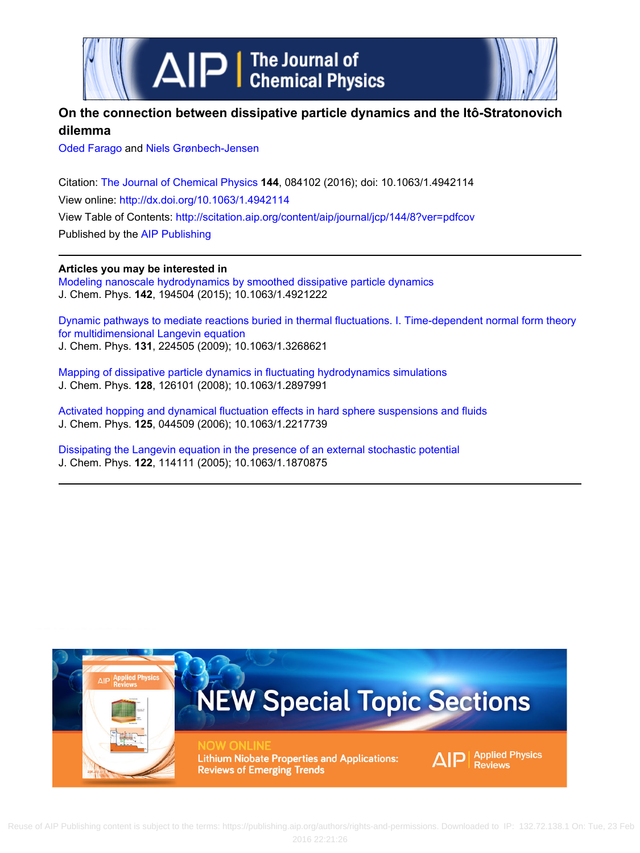



## **On the connection between dissipative particle dynamics and the Itô-Stratonovich dilemma**

[Oded Farago](http://scitation.aip.org/search?value1=Oded+Farago&option1=author) and [Niels Grønbech-Jensen](http://scitation.aip.org/search?value1=Niels+Gr�nbech-Jensen&option1=author)

Citation: [The Journal of Chemical Physics](http://scitation.aip.org/content/aip/journal/jcp?ver=pdfcov) **144**, 084102 (2016); doi: 10.1063/1.4942114 View online: <http://dx.doi.org/10.1063/1.4942114> View Table of Contents:<http://scitation.aip.org/content/aip/journal/jcp/144/8?ver=pdfcov> Published by the [AIP Publishing](http://scitation.aip.org/content/aip?ver=pdfcov)

## **Articles you may be interested in**

[Modeling nanoscale hydrodynamics by smoothed dissipative particle dynamics](http://scitation.aip.org/content/aip/journal/jcp/142/19/10.1063/1.4921222?ver=pdfcov) J. Chem. Phys. **142**, 194504 (2015); 10.1063/1.4921222

[Dynamic pathways to mediate reactions buried in thermal fluctuations. I. Time-dependent normal form theory](http://scitation.aip.org/content/aip/journal/jcp/131/22/10.1063/1.3268621?ver=pdfcov) [for multidimensional Langevin equation](http://scitation.aip.org/content/aip/journal/jcp/131/22/10.1063/1.3268621?ver=pdfcov) J. Chem. Phys. **131**, 224505 (2009); 10.1063/1.3268621

[Mapping of dissipative particle dynamics in fluctuating hydrodynamics simulations](http://scitation.aip.org/content/aip/journal/jcp/128/12/10.1063/1.2897991?ver=pdfcov) J. Chem. Phys. **128**, 126101 (2008); 10.1063/1.2897991

[Activated hopping and dynamical fluctuation effects in hard sphere suspensions and fluids](http://scitation.aip.org/content/aip/journal/jcp/125/4/10.1063/1.2217739?ver=pdfcov) J. Chem. Phys. **125**, 044509 (2006); 10.1063/1.2217739

[Dissipating the Langevin equation in the presence of an external stochastic potential](http://scitation.aip.org/content/aip/journal/jcp/122/11/10.1063/1.1870875?ver=pdfcov) J. Chem. Phys. **122**, 114111 (2005); 10.1063/1.1870875

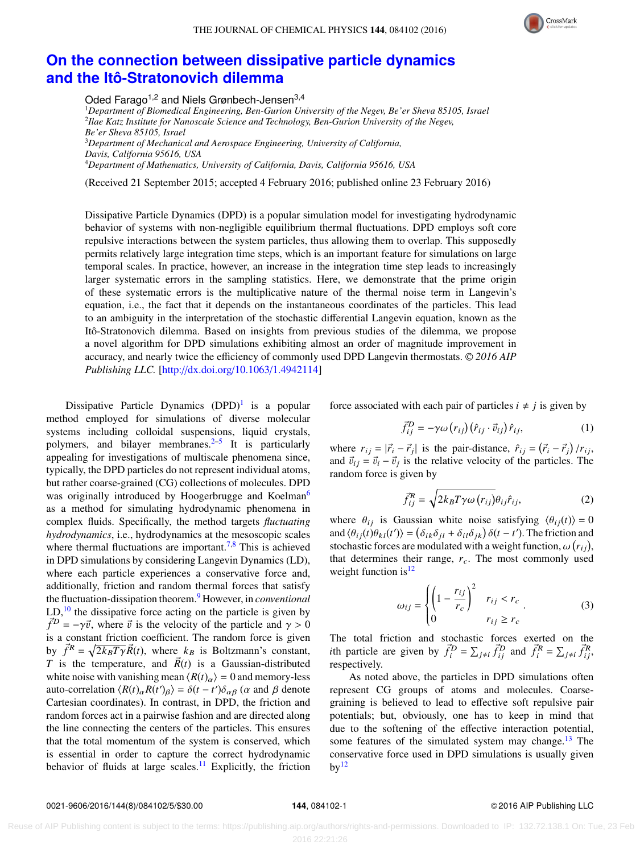THE JOURNAL OF CHEMICAL PHYSICS 144, 084102 (2016)



## **[On the connection between dissipative particle dynamics](http://dx.doi.org/10.1063/1.4942114) [and the Itô-Stratonovich dilemma](http://dx.doi.org/10.1063/1.4942114)**

Oded Farago<sup>1,2</sup> and Niels Grønbech-Jensen<sup>3,4</sup>

*Department of Biomedical Engineering, Ben-Gurion University of the Negev, Be'er Sheva 85105, Israel Ilae Katz Institute for Nanoscale Science and Technology, Ben-Gurion University of the Negev, Be'er Sheva 85105, Israel Department of Mechanical and Aerospace Engineering, University of California, Davis, California 95616, USA Department of Mathematics, University of California, Davis, California 95616, USA*

(Received 21 September 2015; accepted 4 February 2016; published online 23 February 2016)

Dissipative Particle Dynamics (DPD) is a popular simulation model for investigating hydrodynamic behavior of systems with non-negligible equilibrium thermal fluctuations. DPD employs soft core repulsive interactions between the system particles, thus allowing them to overlap. This supposedly permits relatively large integration time steps, which is an important feature for simulations on large temporal scales. In practice, however, an increase in the integration time step leads to increasingly larger systematic errors in the sampling statistics. Here, we demonstrate that the prime origin of these systematic errors is the multiplicative nature of the thermal noise term in Langevin's equation, i.e., the fact that it depends on the instantaneous coordinates of the particles. This lead to an ambiguity in the interpretation of the stochastic differential Langevin equation, known as the Itô-Stratonovich dilemma. Based on insights from previous studies of the dilemma, we propose a novel algorithm for DPD simulations exhibiting almost an order of magnitude improvement in accuracy, and nearly twice the efficiency of commonly used DPD Langevin thermostats. <sup>C</sup> *2016 AIP Publishing LLC.* [\[http:](http://dx.doi.org/10.1063/1.4942114)//[dx.doi.org](http://dx.doi.org/10.1063/1.4942114)/[10.1063](http://dx.doi.org/10.1063/1.4942114)/[1.4942114\]](http://dx.doi.org/10.1063/1.4942114)

Dissipative Particle Dynamics  $(DPD)^1$  $(DPD)^1$  is a popular method employed for simulations of diverse molecular systems including colloidal suspensions, liquid crystals, polymers, and bilayer membranes. $2-5$  $2-5$  It is particularly appealing for investigations of multiscale phenomena since, typically, the DPD particles do not represent individual atoms, but rather coarse-grained (CG) collections of molecules. DPD was originally introduced by Hoogerbrugge and Koelman<sup>[6](#page-5-3)</sup> as a method for simulating hydrodynamic phenomena in complex fluids. Specifically, the method targets *fluctuating hydrodynamics*, i.e., hydrodynamics at the mesoscopic scales where thermal fluctuations are important.<sup>[7,](#page-5-4)[8](#page-5-5)</sup> This is achieved in DPD simulations by considering Langevin Dynamics (LD), where each particle experiences a conservative force and, additionally, friction and random thermal forces that satisfy the fluctuation-dissipation theorem.[9](#page-5-6) However, in *conventional*  $LD<sub>10</sub>$  $LD<sub>10</sub>$  $LD<sub>10</sub>$ , the dissipative force acting on the particle is given by  $\vec{f}^D = -\gamma \vec{v}$ , where  $\vec{v}$  is the velocity of the particle and  $\gamma > 0$ is a constant friction coefficient. The random force is given by  $\vec{f}^R = \sqrt{2k_B T \gamma} \vec{R}(t)$ , where  $k_B$  is Boltzmann's constant,<br>T is the temperature, and  $\vec{R}(t)$  is a Gaussian distributed *T* is the temperature, and  $\vec{R}(t)$  is a Gaussian-distributed white noise with vanishing mean  $\langle R(t)_{\alpha} \rangle = 0$  and memory-less auto-correlation  $\langle R(t)_{\alpha} R(t')_{\beta} \rangle = \delta(t - t') \delta_{\alpha\beta}$  ( $\alpha$  and  $\beta$  denote Cartesian coordinates). In contrast, in DPD, the friction and random forces act in a pairwise fashion and are directed along the line connecting the centers of the particles. This ensures that the total momentum of the system is conserved, which is essential in order to capture the correct hydrodynamic behavior of fluids at large scales.<sup>[11](#page-5-8)</sup> Explicitly, the friction

force associated with each pair of particles  $i \neq j$  is given by

<span id="page-1-1"></span>
$$
\vec{f}_{ij}^D = -\gamma \omega \left( r_{ij} \right) \left( \hat{r}_{ij} \cdot \vec{v}_{ij} \right) \hat{r}_{ij}, \tag{1}
$$

where  $r_{ij} = |\vec{r}_i - \vec{r}_j|$  is the pair-distance,  $\hat{r}_{ij} = ($  $\vec{r}_i - \vec{r}_j$  $/r_{ij}$ ,<br>The and  $\vec{v}_{ij} = \vec{v}_i - \vec{v}_j$  is the relative velocity of the particles. The random force is given by random force is given by

<span id="page-1-2"></span>
$$
\vec{f}_{ij}^R = \sqrt{2k_B T \gamma \omega (r_{ij})} \theta_{ij} \hat{r}_{ij},
$$
 (2)

where  $\theta_{ij}$  is Gaussian white noise satisfying  $\langle \theta_{ij}(t) \rangle = 0$ <br>and  $\langle \theta_{ij}(t) \theta_{ij}(t') \rangle = (\delta_{ij} \delta_{ij} + \delta_{ij} \delta_{ij}) \delta(t - t')$ . The friction and where  $\theta_{ij}$  is Gaussian white noise satisfying  $\langle \theta_{ij}(t) \rangle = 0$ <br>and  $\langle \theta_{ij}(t) \theta_{kl}(t') \rangle = \left( \delta_{ik} \delta_{jl} + \delta_{il} \delta_{jk} \right) \delta(t - t')$ . The friction and<br>stochastic forces are modulated with a weight function  $\omega(r)$ . and  $\langle \theta_{ij}(t) \theta_{kl}(t') \rangle = (\delta_{ik} \delta_{jl} + \delta_{il} \delta_{jk}) \delta(t - t')$ . The friction and<br>stochastic forces are modulated with a weight function,  $\omega(r_{ij})$ ,<br>that determines their range *r*. The most commonly used that determines their range,  $r_c$ . The most commonly used weight function is  $12$ 

<span id="page-1-0"></span>
$$
\omega_{ij} = \begin{cases} \left(1 - \frac{r_{ij}}{r_c}\right)^2 & r_{ij} < r_c\\ 0 & r_{ij} \ge r_c \end{cases} \tag{3}
$$

The total friction and stochastic forces exerted on the *i*th particle are given by  $\vec{f}_i^D = \sum_{j \neq i} \vec{f}_{ij}^D$  and  $\vec{f}_i^R = \sum_{j \neq i} \vec{f}_{ij}^R$ , respectively.

As noted above, the particles in DPD simulations often represent CG groups of atoms and molecules. Coarsegraining is believed to lead to effective soft repulsive pair potentials; but, obviously, one has to keep in mind that due to the softening of the effective interaction potential, some features of the simulated system may change.<sup>[13](#page-5-10)</sup> The conservative force used in DPD simulations is usually given  $by<sup>12</sup>$  $by<sup>12</sup>$  $by<sup>12</sup>$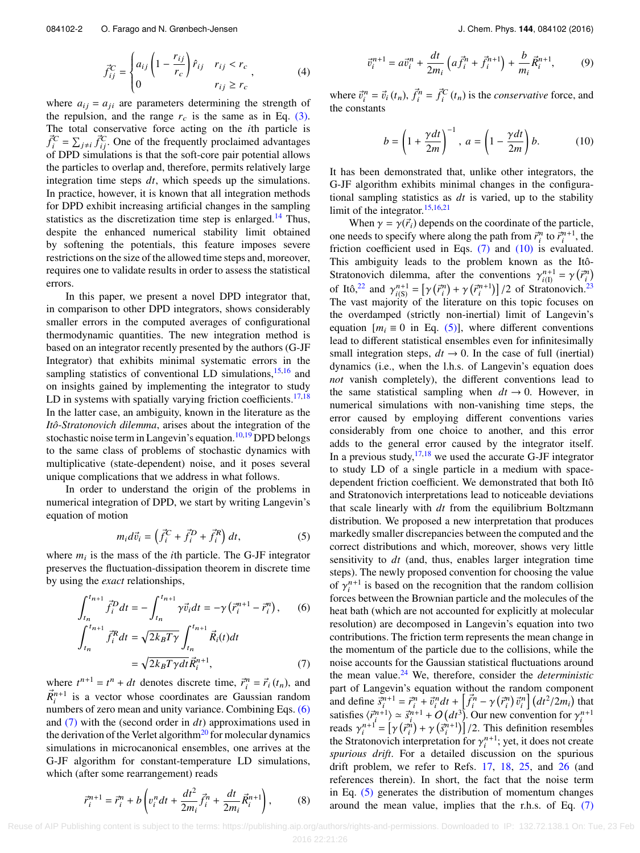$$
\vec{f}_{ij}^C = \begin{cases} a_{ij} \left( 1 - \frac{r_{ij}}{r_c} \right) \hat{r}_{ij} & r_{ij} < r_c \\ 0 & r_{ij} \ge r_c \end{cases}
$$
 (4)

where  $a_{ij} = a_{ji}$  are parameters determining the strength of the repulsion, and the range  $r_c$  is the same as in Eq.  $(3)$ . The total conservative force acting on the *i*th particle is  $\vec{f}_i^C = \sum_{j \neq i} \vec{f}_{ij}^C$ . One of the frequently proclaimed advantages of DPD simulations is that the soft-core pair potential allows the particles to overlap and, therefore, permits relatively large integration time steps *dt*, which speeds up the simulations. In practice, however, it is known that all integration methods for DPD exhibit increasing artificial changes in the sampling statistics as the discretization time step is enlarged.<sup>[14](#page-5-11)</sup> Thus, despite the enhanced numerical stability limit obtained by softening the potentials, this feature imposes severe restrictions on the size of the allowed time steps and, moreover, requires one to validate results in order to assess the statistical errors.

In this paper, we present a novel DPD integrator that, in comparison to other DPD integrators, shows considerably smaller errors in the computed averages of configurational thermodynamic quantities. The new integration method is based on an integrator recently presented by the authors (G-JF Integrator) that exhibits minimal systematic errors in the sampling statistics of conventional LD simulations, $15,16$  $15,16$  and on insights gained by implementing the integrator to study LD in systems with spatially varying friction coefficients. $17,18$  $17,18$ In the latter case, an ambiguity, known in the literature as the *Itô-Stratonovich dilemma*, arises about the integration of the stochastic noise term in Langevin's equation.<sup>[10](#page-5-7)[,19](#page-5-16)</sup> DPD belongs to the same class of problems of stochastic dynamics with multiplicative (state-dependent) noise, and it poses several unique complications that we address in what follows.

In order to understand the origin of the problems in numerical integration of DPD, we start by writing Langevin's equation of motion

<span id="page-2-3"></span><span id="page-2-0"></span>
$$
m_i d\vec{v}_i = \left(\vec{f}_i^C + \vec{f}_i^D + \vec{f}_i^R\right) dt,\tag{5}
$$

where  $m_i$  is the mass of the *i*th particle. The G-JF integrator preserves the fluctuation-dissipation theorem in discrete time by using the *exact* relationships,

$$
\int_{t_n}^{t_{n+1}} \vec{f}_i^D dt = -\int_{t_n}^{t_{n+1}} \gamma \vec{v}_i dt = -\gamma \left( \vec{r}_i^{n+1} - \vec{r}_i^n \right), \qquad (6)
$$

$$
\int_{t_n}^{t_{n+1}} \vec{f}_i^R dt = \sqrt{2k_B T \gamma} \int_{t_n}^{t_{n+1}} \vec{R}_i(t) dt
$$

<span id="page-2-1"></span>
$$
J_{t_n}
$$
  
=  $\sqrt{2k_B T \gamma dt} \vec{R}_i^{n+1}$ , (7)

where  $t^{n+1} = t^n + dt$  denotes discrete time,  $\vec{r}_i^n = \vec{r}_i(t_n)$ , and  $\vec{R}_{i}^{n+1}$  is a vector whose coordinates are Gaussian random numbers of zero mean and unity variance. Combining Eqs. [\(6\)](#page-2-0) and [\(7\)](#page-2-1) with the (second order in *dt*) approximations used in the derivation of the Verlet algorithm<sup>[20](#page-5-17)</sup> for molecular dynamics simulations in microcanonical ensembles, one arrives at the G-JF algorithm for constant-temperature LD simulations, which (after some rearrangement) reads

<span id="page-2-4"></span>
$$
\vec{r}_i^{n+1} = \vec{r}_i^n + b \left( v_i^n dt + \frac{dt^2}{2m_i} \vec{f}_i^n + \frac{dt}{2m_i} \vec{R}_i^{n+1} \right),\tag{8}
$$

$$
\vec{v}_i^{n+1} = a\vec{v}_i^n + \frac{dt}{2m_i} \left( a\vec{f}_i^n + \vec{f}_i^{n+1} \right) + \frac{b}{m_i} \vec{R}_i^{n+1},\tag{9}
$$

where  $\vec{v}_i^n = \vec{v}_i(t_n)$ ,  $\vec{f}_i^n = \vec{f}_i^C(t_n)$  is the *conservative* force, and the *constants* the constants

<span id="page-2-5"></span><span id="page-2-2"></span>
$$
b = \left(1 + \frac{\gamma dt}{2m}\right)^{-1}, \ a = \left(1 - \frac{\gamma dt}{2m}\right)b.
$$
 (10)

It has been demonstrated that, unlike other integrators, the G-JF algorithm exhibits minimal changes in the configurational sampling statistics as *dt* is varied, up to the stability limit of the integrator.[15,](#page-5-12)[16](#page-5-13)[,21](#page-5-18)

When  $\gamma = \gamma(\vec{r}_i)$  depends on the coordinate of the particle, one needs to specify where along the path from  $\vec{r}^n_i$  to  $\vec{r}^{n+1}_i$ , the friction coefficient used in Eqs. [\(7\)](#page-2-1) and [\(10\)](#page-2-2) is evaluated. This ambiguity leads to the problem known as the Itô- Stratonovich dilemma, after the conventions  $\gamma_{(1)}^{n+1} = \gamma(\vec{r}_1^n)$ <br>of Ita<sup>22</sup> and  $\gamma_{(1)}^{n+1} = [\gamma(\vec{x}_1^n) + \gamma(\vec{x}_1^{n+1})]$  (2 of Stratonovich<sup>2</sup>) of Itô,<sup>[22](#page-5-19)</sup> and  $\gamma_{i}(s) = [\gamma(\vec{r}_i^n) + \gamma(\vec{r}_i^{n+1})]/2$  of Stratonovich.<sup>[23](#page-5-20)</sup><br>The vast majority of the literature on this topic focuses on The vast majority of the literature on this topic focuses on the overdamped (strictly non-inertial) limit of Langevin's equation  $[m_i \equiv 0 \text{ in Eq. (5)}]$ , where different conventions lead to different statistical ensembles even for infinitesimally small integration steps,  $dt \rightarrow 0$ . In the case of full (inertial) dynamics (i.e., when the l.h.s. of Langevin's equation does *not* vanish completely), the different conventions lead to the same statistical sampling when  $dt \rightarrow 0$ . However, in numerical simulations with non-vanishing time steps, the error caused by employing different conventions varies considerably from one choice to another, and this error adds to the general error caused by the integrator itself. In a previous study,  $17,18$  $17,18$  we used the accurate G-JF integrator to study LD of a single particle in a medium with spacedependent friction coefficient. We demonstrated that both Itô and Stratonovich interpretations lead to noticeable deviations that scale linearly with *dt* from the equilibrium Boltzmann distribution. We proposed a new interpretation that produces markedly smaller discrepancies between the computed and the correct distributions and which, moreover, shows very little sensitivity to *dt* (and, thus, enables larger integration time steps). The newly proposed convention for choosing the value of  $\gamma_i^{n+1}$  is based on the recognition that the random collision<br>forces between the Brownian particle and the molecules of the forces between the Brownian particle and the molecules of the heat bath (which are not accounted for explicitly at molecular resolution) are decomposed in Langevin's equation into two contributions. The friction term represents the mean change in the momentum of the particle due to the collisions, while the noise accounts for the Gaussian statistical fluctuations around the mean value.[24](#page-5-21) We, therefore, consider the *deterministic* part of Langevin's equation without the random component and define  $\vec{s}_i^{n+1} = \vec{r}_i^n + \vec{v}_i^n dt + \left[\vec{f}_i^n - \gamma(\vec{r}_i^n)\vec{v}_i^n\right] (dt^2/2m_i)$  that satisfies  $\langle \vec{r}_i^{n+1} \rangle \approx \vec{s}_i^{n+1} + O(dt^3)$ . Our new convention for  $\gamma_i^{n+1}$ <br>reads  $\gamma_i^{n+1} = [\gamma(\vec{r}_i^n) + \gamma(\vec{s}_i^{n+1})]/2$ . This definition resembles<br>the Stratonovich interpretation for  $\gamma_i^{n+1}$ , yet it does not creat  $\sum_{r=1}^{\infty}$ the Stratonovich interpretation for  $\gamma_i^{n+1}$ ; yet, it does not create<br>spurious drift. For a detailed discussion on the spurious ⃗*r* n i ŗ.  $+\gamma$ Ş  $\vec{s}^{n+1}_i$  $\left(\frac{1}{2}\right)$ /2. This definition resembles<br>or  $\gamma^{n+1}$  yet it does not create *spurious drift*. For a detailed discussion on the spurious drift problem, we refer to Refs. [17,](#page-5-14) [18,](#page-5-15) [25,](#page-5-22) and [26](#page-5-23) (and references therein). In short, the fact that the noise term in Eq. [\(5\)](#page-2-3) generates the distribution of momentum changes around the mean value, implies that the r.h.s. of Eq. [\(7\)](#page-2-1)

Reuse of AIP Publishing content is subject to the terms: https://publishing.aip.org/authors/rights-and-permissions. Downloaded to IP: 132.72.138.1 On: Tue, 23 Feb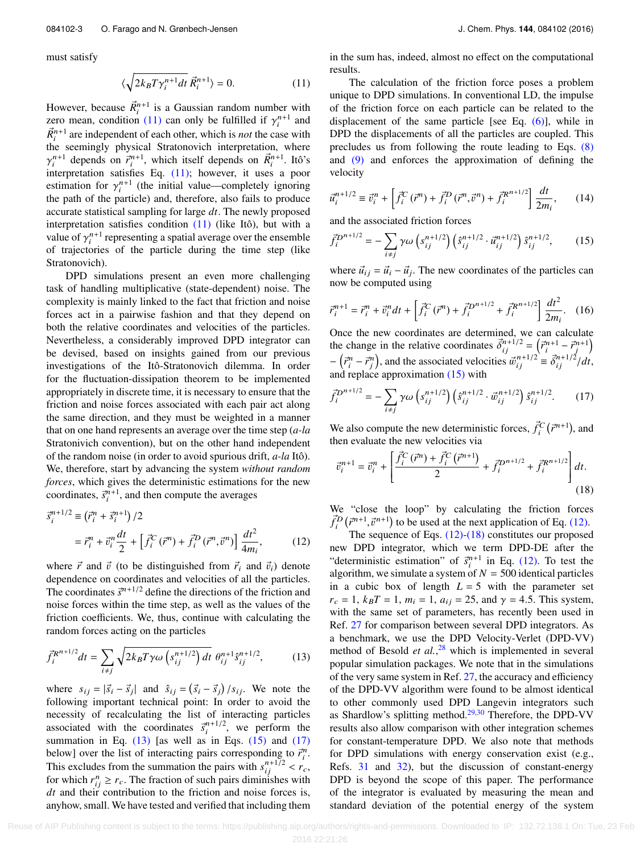must satisfy

$$
\langle \sqrt{2k_B T \gamma_i^{n+1} dt} \, \vec{R}_i^{n+1} \rangle = 0. \tag{11}
$$

However, because  $\vec{R}_{i}^{n+1}$  is a Gaussian random number with zero mean, condition [\(11\)](#page-3-0) can only be fulfilled if  $\gamma_i^{n+1}$  and  $\vec{p}_{i+1}^{n+1}$  are independent of each other which is not the case with  $\vec{R}_i^{n+1}$  are independent of each other, which is *not* the case with the seemingly physical Stratonovich interpretation, where interpretation satisfies Eq. [\(11\);](#page-3-0) however, it uses a poor  $\vec{r}_i^{n+1}$  depends on  $\vec{r}_i^{n+1}$ , which itself depends on  $\vec{R}_i^{n+1}$ . Itô's estimation for  $\gamma_i^{n+1}$  (the initial value—completely ignoring<br>the path of the particle) and therefore, also fails to produce the path of the particle) and, therefore, also fails to produce accurate statistical sampling for large *dt*. The newly proposed interpretation satisfies condition [\(11\)](#page-3-0) (like Itô), but with a value of  $\gamma_i^{n+1}$  representing a spatial average over the ensemble<br>of trajectories of the particle during the time step (like of trajectories of the particle during the time step (like Stratonovich).

DPD simulations present an even more challenging task of handling multiplicative (state-dependent) noise. The complexity is mainly linked to the fact that friction and noise forces act in a pairwise fashion and that they depend on both the relative coordinates and velocities of the particles. Nevertheless, a considerably improved DPD integrator can be devised, based on insights gained from our previous investigations of the Itô-Stratonovich dilemma. In order for the fluctuation-dissipation theorem to be implemented appropriately in discrete time, it is necessary to ensure that the friction and noise forces associated with each pair act along the same direction, and they must be weighted in a manner that on one hand represents an average over the time step (*a-la* Stratonivich convention), but on the other hand independent of the random noise (in order to avoid spurious drift, *a-la* Itô). We, therefore, start by advancing the system *without random forces*, which gives the deterministic estimations for the new coordinates,  $\vec{s}^{n+1}_{i}$ , and then compute the averages

$$
\vec{s}_i^{n+1/2} \equiv (\vec{r}_i^n + \vec{s}_i^{n+1})/2
$$
  
=  $\vec{r}_i^n + \vec{v}_i^n \frac{dt}{2} + [\vec{f}_i^C(\vec{r}^n) + \vec{f}_i^D(\vec{r}^n, \vec{v}^n)] \frac{dt^2}{4m_i},$  (12)

where  $\vec{r}$  and  $\vec{v}$  (to be distinguished from  $\vec{r}_i$  and  $\vec{v}_i$ ) denote dependence on coordinates and velocities of all the particles. The coordinates  $\vec{s}^{n+1/2}$  define the directions of the friction and noise forces within the time step, as well as the values of the friction coefficients. We, thus, continue with calculating the random forces acting on the particles

$$
\vec{f}_i^{R^{n+1/2}} dt = \sum_{i \neq j} \sqrt{2k_B T \gamma \omega \left( s_{ij}^{n+1/2} \right) dt} \; \theta_{ij}^{n+1} \hat{s}_{ij}^{n+1/2},\tag{13}
$$

where  $s_{ij} = |\vec{s}_i - \vec{s}_j|$  and  $\hat{s}_{ij} = (\vec{s}_i - \vec{s}_j)/s_{ij}$ . We note the following important technical point: In order to avoid the following important technical point: In order to avoid the necessity of recalculating the list of interacting particles associated with the coordinates  $\vec{s}^{n+1/2}$ , we perform the summation in Eq.  $(13)$  [as well as in Eqs.  $(15)$  and  $(17)$ below] over the list of interacting pairs corresponding to  $\vec{r}_i^n$ . This excludes from the summation the pairs with  $s_{ij}^{n+1/2} < r_c$ , for which  $r^n > r$ . The fraction of such pairs diminishes with for which  $r_{ij}^n \ge r_c$ . The fraction of such pairs diminishes with *dt* and their contribution to the friction and noise forces is, anyhow, small. We have tested and verified that including them in the sum has, indeed, almost no effect on the computational results.

<span id="page-3-0"></span>The calculation of the friction force poses a problem unique to DPD simulations. In conventional LD, the impulse of the friction force on each particle can be related to the displacement of the same particle [see Eq. [\(6\)\]](#page-2-0), while in DPD the displacements of all the particles are coupled. This precludes us from following the route leading to Eqs. [\(8\)](#page-2-4) and [\(9\)](#page-2-5) and enforces the approximation of defining the velocity

$$
\vec{u}_i^{n+1/2} \equiv \vec{v}_i^n + \left[ \vec{f}_i^C(\vec{r}^n) + \vec{f}_i^D(\vec{r}^n, \vec{v}^n) + \vec{f}_i^{R^{n+1/2}} \right] \frac{dt}{2m_i},\qquad(14)
$$

and the associated friction forces

<span id="page-3-2"></span>
$$
\vec{f}_i^{D^{n+1/2}} = -\sum_{i \neq j} \gamma \omega \left( s_{ij}^{n+1/2} \right) \left( \hat{s}_{ij}^{n+1/2} \cdot \vec{u}_{ij}^{n+1/2} \right) \hat{s}_{ij}^{n+1/2}, \qquad (15)
$$

where  $\vec{u}_{ij} = \vec{u}_i - \vec{u}_j$ . The new coordinates of the particles can now be computed using

$$
\vec{r}_i^{n+1} = \vec{r}_i^n + \vec{v}_i^n dt + \left[ \vec{f}_i^C (\vec{r}^n) + \vec{f}_i^{D^{n+1/2}} + \vec{f}_i^{R^{n+1/2}} \right] \frac{dt^2}{2m_i}.
$$
 (16)

Once the new coordinates are determined, we can calculate the change in the relative coordinates  $\vec{\delta}_i^{n+1/2} = (\vec{r}_i^{n+1} - \vec{r}_j^{n+1})$ <br> $(\vec{r}_i^{n} - \vec{r}_j^{n})$  and the coordinates is  $(\vec{r}_i^{n+1/2} - \vec{r}_j^{n+1})$  $-\left(\vec{r}_i^n - \vec{r}_j^n\right)$ , and the associated velocities  $\vec{w}_{ij}^{n+1/2} \equiv \vec{\delta}_{ij}^{n+1/2}/dt$ , and replace approximation [\(15\)](#page-3-2) with

<span id="page-3-3"></span>
$$
\vec{f}_i^{D^{n+1/2}} = -\sum_{i \neq j} \gamma \omega \left( s_{ij}^{n+1/2} \right) \left( \hat{s}_{ij}^{n+1/2} \cdot \vec{w}_{ij}^{n+1/2} \right) \hat{s}_{ij}^{n+1/2}.
$$
 (17)

We also compute the new deterministic forces,  $\vec{f}_i^C$ ⃗*r* n+1 , and then evaluate the new velocities via

<span id="page-3-5"></span>
$$
\vec{v}_i^{n+1} = \vec{v}_i^n + \left[ \frac{\vec{f}_i^C(\vec{r}^n) + \vec{f}_i^C(\vec{r}^{n+1})}{2} + \vec{f}_i^{D^{n+1/2}} + \vec{f}_i^{R^{n+1/2}} \right] dt.
$$
\n(18)

We "close the loop" by calculating the friction forces  $\vec{f}_i^D(\vec{r}^{n+1}, \vec{v}^{n+1})$  to be used at the next application of Eq. [\(12\).](#page-3-4)<br>The sequence of Eqs. (12)-(18) constitutes our propose

<span id="page-3-4"></span><span id="page-3-1"></span>The sequence of Eqs.  $(12)-(18)$  $(12)-(18)$  constitutes our proposed new DPD integrator, which we term DPD-DE after the "deterministic estimation" of  $\vec{s}_i^{n+1}$  in Eq. [\(12\).](#page-3-4) To test the algorithm, we simulate a system of  $N = 500$  identical particles in a cubic box of length  $L = 5$  with the parameter set  $r_c = 1$ ,  $k_B T = 1$ ,  $m_i = 1$ ,  $a_{ij} = 25$ , and  $\gamma = 4.5$ . This system, with the same set of parameters, has recently been used in Ref. [27](#page-5-24) for comparison between several DPD integrators. As a benchmark, we use the DPD Velocity-Verlet (DPD-VV) method of Besold *et al.*, [28](#page-5-25) which is implemented in several popular simulation packages. We note that in the simulations of the very same system in Ref. [27,](#page-5-24) the accuracy and efficiency of the DPD-VV algorithm were found to be almost identical to other commonly used DPD Langevin integrators such as Shardlow's splitting method. $29,30$  $29,30$  Therefore, the DPD-VV results also allow comparison with other integration schemes for constant-temperature DPD. We also note that methods for DPD simulations with energy conservation exist (e.g., Refs. [31](#page-5-28) and [32\)](#page-5-29), but the discussion of constant-energy DPD is beyond the scope of this paper. The performance of the integrator is evaluated by measuring the mean and standard deviation of the potential energy of the system

Reuse of AIP Publishing content is subject to the terms: https://publishing.aip.org/authors/rights-and-permissions. Downloaded to IP: 132.72.138.1 On: Tue, 23 Feb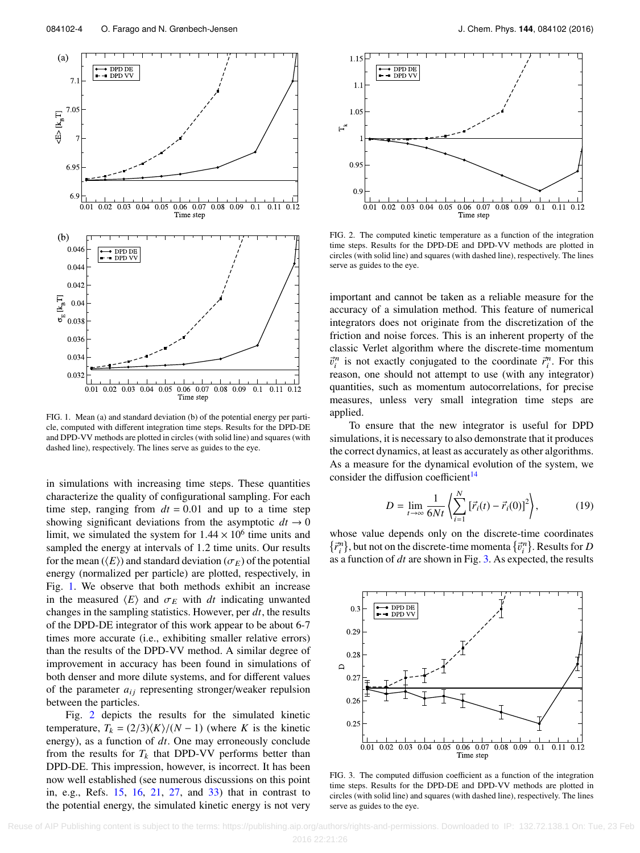<span id="page-4-0"></span>

FIG. 1. Mean (a) and standard deviation (b) of the potential energy per particle, computed with different integration time steps. Results for the DPD-DE and DPD-VV methods are plotted in circles (with solid line) and squares (with dashed line), respectively. The lines serve as guides to the eye.

in simulations with increasing time steps. These quantities characterize the quality of configurational sampling. For each time step, ranging from  $dt = 0.01$  and up to a time step showing significant deviations from the asymptotic  $dt \rightarrow 0$ limit, we simulated the system for  $1.44 \times 10^6$  time units and sampled the energy at intervals of 1.2 time units. Our results sampled the energy at intervals of 1.2 time units. Our results for the mean  $(\langle E \rangle)$  and standard deviation ( $\sigma_E$ ) of the potential energy (normalized per particle) are plotted, respectively, in Fig. [1.](#page-4-0) We observe that both methods exhibit an increase in the measured  $\langle E \rangle$  and  $\sigma_E$  with *dt* indicating unwanted changes in the sampling statistics. However, per *dt*, the results of the DPD-DE integrator of this work appear to be about 6-7 times more accurate (i.e., exhibiting smaller relative errors) than the results of the DPD-VV method. A similar degree of improvement in accuracy has been found in simulations of both denser and more dilute systems, and for different values of the parameter  $a_{ij}$  representing stronger/weaker repulsion between the particles.

Fig. [2](#page-4-1) depicts the results for the simulated kinetic temperature,  $T_k = \frac{2}{3}\left(\frac{K}{N-1}\right)$  (where *K* is the kinetic energy), as a function of *dt*. One may erroneously conclude from the results for  $T_k$  that DPD-VV performs better than DPD-DE. This impression, however, is incorrect. It has been now well established (see numerous discussions on this point in, e.g., Refs. [15,](#page-5-12) [16,](#page-5-13) [21,](#page-5-18) [27,](#page-5-24) and [33\)](#page-5-30) that in contrast to the potential energy, the simulated kinetic energy is not very

<span id="page-4-1"></span>

FIG. 2. The computed kinetic temperature as a function of the integration time steps. Results for the DPD-DE and DPD-VV methods are plotted in circles (with solid line) and squares (with dashed line), respectively. The lines serve as guides to the eye.

important and cannot be taken as a reliable measure for the accuracy of a simulation method. This feature of numerical integrators does not originate from the discretization of the friction and noise forces. This is an inherent property of the classic Verlet algorithm where the discrete-time momentum  $\vec{v}_i^n$  is not exactly conjugated to the coordinate  $\vec{r}_i^n$ . For this reason one should not attempt to use (with any integrator) reason, one should not attempt to use (with any integrator) quantities, such as momentum autocorrelations, for precise measures, unless very small integration time steps are applied.

To ensure that the new integrator is useful for DPD simulations, it is necessary to also demonstrate that it produces the correct dynamics, at least as accurately as other algorithms. As a measure for the dynamical evolution of the system, we consider the diffusion coefficient $14$ 

$$
D = \lim_{t \to \infty} \frac{1}{6Nt} \left\langle \sum_{i=1}^{N} \left[ \vec{r}_i(t) - \vec{r}_i(0) \right]^2 \right\rangle, \tag{19}
$$

whose value depends only on the discrete-time coordinates whose value depends only on the discrete-time coordinates  $\vec{r}^n_i$ , but not on the discrete-time momenta  $\{\vec{v}^n_i\}$ . Results for *D*  $\vec{v}^n$  as function of *dt* are shown in Fig. 3. As expected, the results as a function of *dt* are shown in Fig. [3.](#page-4-2) As expected, the results

<span id="page-4-2"></span>

FIG. 3. The computed diffusion coefficient as a function of the integration time steps. Results for the DPD-DE and DPD-VV methods are plotted in circles (with solid line) and squares (with dashed line), respectively. The lines serve as guides to the eye.